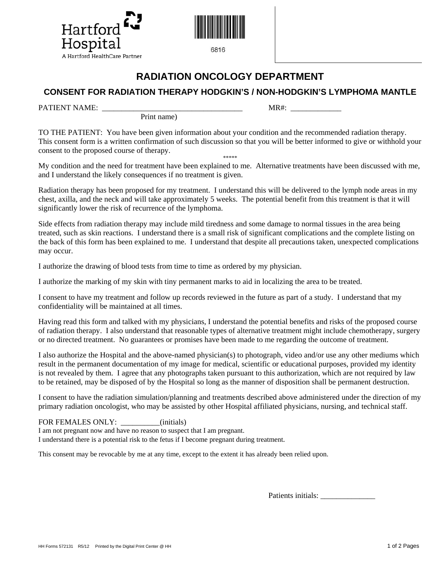



6816

# **RADIATION ONCOLOGY DEPARTMENT**

# **CONSENT FOR RADIATION THERAPY HODGKIN'S / NON-HODGKIN'S LYMPHOMA MANTLE**

PATIENT NAME: \_\_\_\_\_\_\_\_\_\_\_\_\_\_\_\_\_\_\_\_\_\_\_\_\_\_\_\_\_\_\_\_\_\_\_\_ MR#: \_\_\_\_\_\_\_\_\_\_\_\_\_

Print name)

TO THE PATIENT: You have been given information about your condition and the recommended radiation therapy. This consent form is a written confirmation of such discussion so that you will be better informed to give or withhold your consent to the proposed course of therapy.

\*\*\*\*\* My condition and the need for treatment have been explained to me. Alternative treatments have been discussed with me, and I understand the likely consequences if no treatment is given.

Radiation therapy has been proposed for my treatment. I understand this will be delivered to the lymph node areas in my chest, axilla, and the neck and will take approximately 5 weeks. The potential benefit from this treatment is that it will significantly lower the risk of recurrence of the lymphoma.

Side effects from radiation therapy may include mild tiredness and some damage to normal tissues in the area being treated, such as skin reactions. I understand there is a small risk of significant complications and the complete listing on the back of this form has been explained to me. I understand that despite all precautions taken, unexpected complications may occur.

I authorize the drawing of blood tests from time to time as ordered by my physician.

I authorize the marking of my skin with tiny permanent marks to aid in localizing the area to be treated.

I consent to have my treatment and follow up records reviewed in the future as part of a study. I understand that my confidentiality will be maintained at all times.

Having read this form and talked with my physicians, I understand the potential benefits and risks of the proposed course of radiation therapy. I also understand that reasonable types of alternative treatment might include chemotherapy, surgery or no directed treatment. No guarantees or promises have been made to me regarding the outcome of treatment.

I also authorize the Hospital and the above-named physician(s) to photograph, video and/or use any other mediums which result in the permanent documentation of my image for medical, scientific or educational purposes, provided my identity is not revealed by them. I agree that any photographs taken pursuant to this authorization, which are not required by law to be retained, may be disposed of by the Hospital so long as the manner of disposition shall be permanent destruction.

I consent to have the radiation simulation/planning and treatments described above administered under the direction of my primary radiation oncologist, who may be assisted by other Hospital affiliated physicians, nursing, and technical staff.

## FOR FEMALES ONLY:  $\qquad \qquad \text{(initials)}$

I am not pregnant now and have no reason to suspect that I am pregnant.

I understand there is a potential risk to the fetus if I become pregnant during treatment.

This consent may be revocable by me at any time, except to the extent it has already been relied upon.

Patients initials: